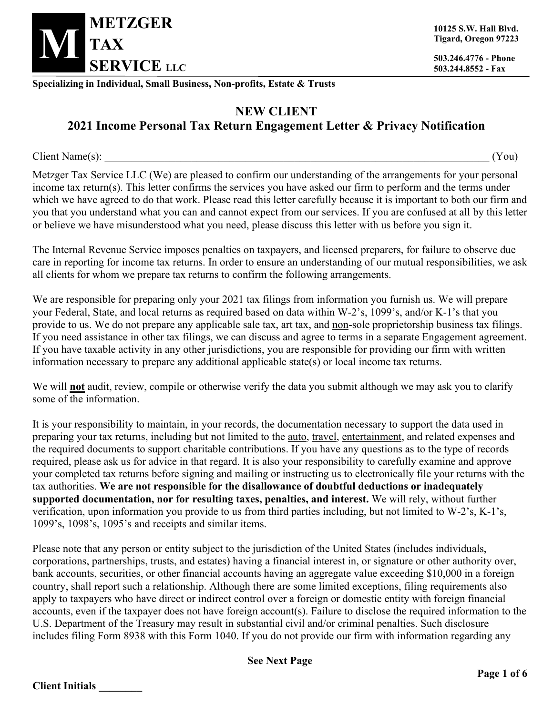

**503.244.8552 - Fax**

**Specializing in Individual, Small Business, Non-profits, Estate & Trusts**

## **NEW CLIENT 2021 Income Personal Tax Return Engagement Letter & Privacy Notification**

 $Client \ Name(s):$  (You)

Metzger Tax Service LLC (We) are pleased to confirm our understanding of the arrangements for your personal income tax return(s). This letter confirms the services you have asked our firm to perform and the terms under which we have agreed to do that work. Please read this letter carefully because it is important to both our firm and you that you understand what you can and cannot expect from our services. If you are confused at all by this letter or believe we have misunderstood what you need, please discuss this letter with us before you sign it.

The Internal Revenue Service imposes penalties on taxpayers, and licensed preparers, for failure to observe due care in reporting for income tax returns. In order to ensure an understanding of our mutual responsibilities, we ask all clients for whom we prepare tax returns to confirm the following arrangements.

We are responsible for preparing only your 2021 tax filings from information you furnish us. We will prepare your Federal, State, and local returns as required based on data within W-2's, 1099's, and/or K-1's that you provide to us. We do not prepare any applicable sale tax, art tax, and non-sole proprietorship business tax filings. If you need assistance in other tax filings, we can discuss and agree to terms in a separate Engagement agreement. If you have taxable activity in any other jurisdictions, you are responsible for providing our firm with written information necessary to prepare any additional applicable state(s) or local income tax returns.

We will **not** audit, review, compile or otherwise verify the data you submit although we may ask you to clarify some of the information.

It is your responsibility to maintain, in your records, the documentation necessary to support the data used in preparing your tax returns, including but not limited to the auto, travel, entertainment, and related expenses and the required documents to support charitable contributions. If you have any questions as to the type of records required, please ask us for advice in that regard. It is also your responsibility to carefully examine and approve your completed tax returns before signing and mailing or instructing us to electronically file your returns with the tax authorities. **We are not responsible for the disallowance of doubtful deductions or inadequately supported documentation, nor for resulting taxes, penalties, and interest.** We will rely, without further verification, upon information you provide to us from third parties including, but not limited to W-2's, K-1's, 1099's, 1098's, 1095's and receipts and similar items.

Please note that any person or entity subject to the jurisdiction of the United States (includes individuals, corporations, partnerships, trusts, and estates) having a financial interest in, or signature or other authority over, bank accounts, securities, or other financial accounts having an aggregate value exceeding \$10,000 in a foreign country, shall report such a relationship. Although there are some limited exceptions, filing requirements also apply to taxpayers who have direct or indirect control over a foreign or domestic entity with foreign financial accounts, even if the taxpayer does not have foreign account(s). Failure to disclose the required information to the U.S. Department of the Treasury may result in substantial civil and/or criminal penalties. Such disclosure includes filing Form 8938 with this Form 1040. If you do not provide our firm with information regarding any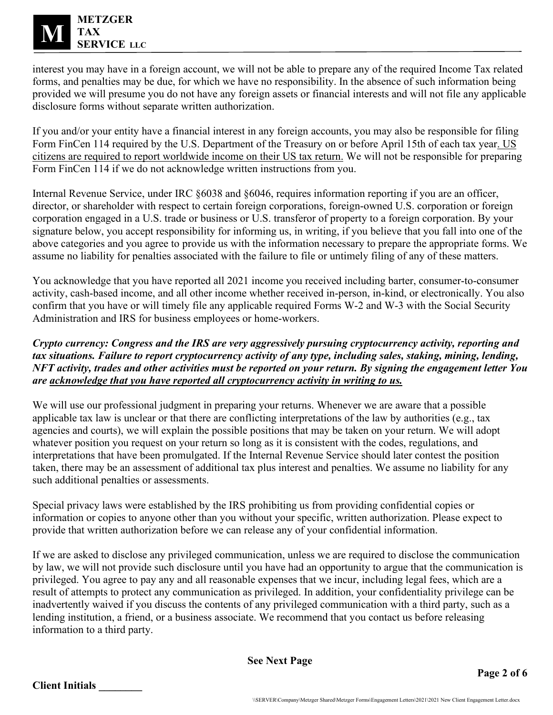

interest you may have in a foreign account, we will not be able to prepare any of the required Income Tax related forms, and penalties may be due, for which we have no responsibility. In the absence of such information being provided we will presume you do not have any foreign assets or financial interests and will not file any applicable disclosure forms without separate written authorization.

If you and/or your entity have a financial interest in any foreign accounts, you may also be responsible for filing Form FinCen 114 required by the U.S. Department of the Treasury on or before April 15th of each tax year. US citizens are required to report worldwide income on their US tax return. We will not be responsible for preparing Form FinCen 114 if we do not acknowledge written instructions from you.

Internal Revenue Service, under IRC §6038 and §6046, requires information reporting if you are an officer, director, or shareholder with respect to certain foreign corporations, foreign-owned U.S. corporation or foreign corporation engaged in a U.S. trade or business or U.S. transferor of property to a foreign corporation. By your signature below, you accept responsibility for informing us, in writing, if you believe that you fall into one of the above categories and you agree to provide us with the information necessary to prepare the appropriate forms. We assume no liability for penalties associated with the failure to file or untimely filing of any of these matters.

You acknowledge that you have reported all 2021 income you received including barter, consumer-to-consumer activity, cash-based income, and all other income whether received in-person, in-kind, or electronically. You also confirm that you have or will timely file any applicable required Forms W-2 and W-3 with the Social Security Administration and IRS for business employees or home-workers.

*Crypto currency: Congress and the IRS are very aggressively pursuing cryptocurrency activity, reporting and tax situations. Failure to report cryptocurrency activity of any type, including sales, staking, mining, lending, NFT activity, trades and other activities must be reported on your return. By signing the engagement letter You are acknowledge that you have reported all cryptocurrency activity in writing to us.*

We will use our professional judgment in preparing your returns. Whenever we are aware that a possible applicable tax law is unclear or that there are conflicting interpretations of the law by authorities (e.g., tax agencies and courts), we will explain the possible positions that may be taken on your return. We will adopt whatever position you request on your return so long as it is consistent with the codes, regulations, and interpretations that have been promulgated. If the Internal Revenue Service should later contest the position taken, there may be an assessment of additional tax plus interest and penalties. We assume no liability for any such additional penalties or assessments.

Special privacy laws were established by the IRS prohibiting us from providing confidential copies or information or copies to anyone other than you without your specific, written authorization. Please expect to provide that written authorization before we can release any of your confidential information.

If we are asked to disclose any privileged communication, unless we are required to disclose the communication by law, we will not provide such disclosure until you have had an opportunity to argue that the communication is privileged. You agree to pay any and all reasonable expenses that we incur, including legal fees, which are a result of attempts to protect any communication as privileged. In addition, your confidentiality privilege can be inadvertently waived if you discuss the contents of any privileged communication with a third party, such as a lending institution, a friend, or a business associate. We recommend that you contact us before releasing information to a third party.

**See Next Page**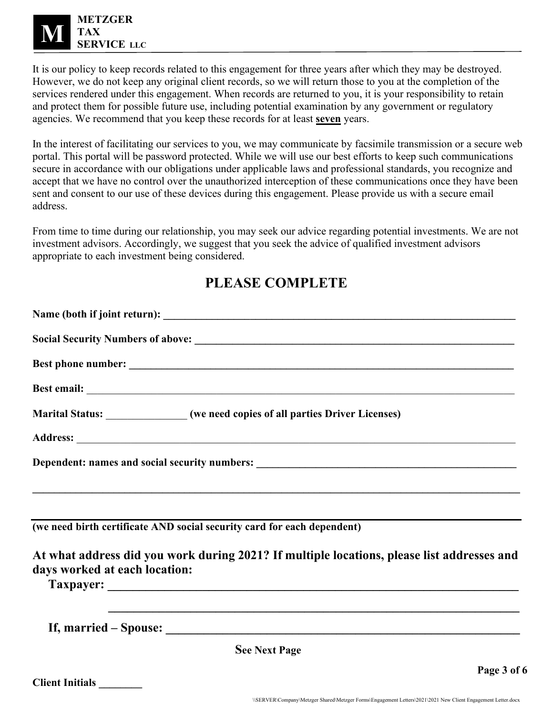

It is our policy to keep records related to this engagement for three years after which they may be destroyed. However, we do not keep any original client records, so we will return those to you at the completion of the services rendered under this engagement. When records are returned to you, it is your responsibility to retain and protect them for possible future use, including potential examination by any government or regulatory agencies. We recommend that you keep these records for at least **seven** years.

In the interest of facilitating our services to you, we may communicate by facsimile transmission or a secure web portal. This portal will be password protected. While we will use our best efforts to keep such communications secure in accordance with our obligations under applicable laws and professional standards, you recognize and accept that we have no control over the unauthorized interception of these communications once they have been sent and consent to our use of these devices during this engagement. Please provide us with a secure email address.

From time to time during our relationship, you may seek our advice regarding potential investments. We are not investment advisors. Accordingly, we suggest that you seek the advice of qualified investment advisors appropriate to each investment being considered.

## **PLEASE COMPLETE**

| Marital Status: ______________(we need copies of all parties Driver Licenses)                                               |
|-----------------------------------------------------------------------------------------------------------------------------|
|                                                                                                                             |
|                                                                                                                             |
| <u> 1999 - Johann Harry Harry Harry Harry Harry Harry Harry Harry Harry Harry Harry Harry Harry Harry Harry Harry H</u>     |
|                                                                                                                             |
| (we need birth certificate AND social security card for each dependent)                                                     |
| At what address did you work during 2021? If multiple locations, please list addresses and<br>days worked at each location: |
|                                                                                                                             |
| <b>See Next Page</b>                                                                                                        |
| Page 3 of 6                                                                                                                 |
|                                                                                                                             |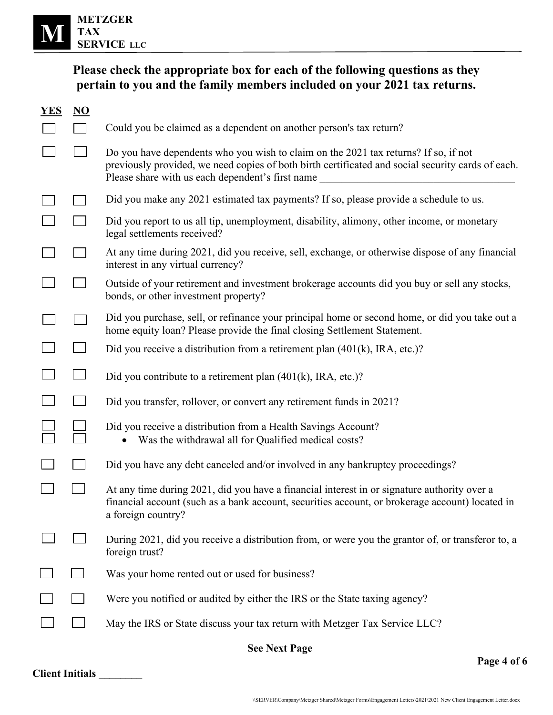

## **Please check the appropriate box for each of the following questions as they pertain to you and the family members included on your 2021 tax returns.**

| YES                  | N <sub>O</sub> |                                                                                                                                                                                                                                              |  |  |
|----------------------|----------------|----------------------------------------------------------------------------------------------------------------------------------------------------------------------------------------------------------------------------------------------|--|--|
|                      |                | Could you be claimed as a dependent on another person's tax return?                                                                                                                                                                          |  |  |
|                      |                | Do you have dependents who you wish to claim on the 2021 tax returns? If so, if not<br>previously provided, we need copies of both birth certificated and social security cards of each.<br>Please share with us each dependent's first name |  |  |
|                      |                | Did you make any 2021 estimated tax payments? If so, please provide a schedule to us.                                                                                                                                                        |  |  |
|                      |                | Did you report to us all tip, unemployment, disability, alimony, other income, or monetary<br>legal settlements received?                                                                                                                    |  |  |
|                      |                | At any time during 2021, did you receive, sell, exchange, or otherwise dispose of any financial<br>interest in any virtual currency?                                                                                                         |  |  |
|                      |                | Outside of your retirement and investment brokerage accounts did you buy or sell any stocks,<br>bonds, or other investment property?                                                                                                         |  |  |
|                      |                | Did you purchase, sell, or refinance your principal home or second home, or did you take out a<br>home equity loan? Please provide the final closing Settlement Statement.                                                                   |  |  |
|                      |                | Did you receive a distribution from a retirement plan $(401(k), \text{IRA}, \text{etc.})$ ?                                                                                                                                                  |  |  |
|                      |                | Did you contribute to a retirement plan $(401(k), \text{IRA}, \text{etc.})$ ?                                                                                                                                                                |  |  |
|                      |                | Did you transfer, rollover, or convert any retirement funds in 2021?                                                                                                                                                                         |  |  |
|                      |                | Did you receive a distribution from a Health Savings Account?<br>Was the withdrawal all for Qualified medical costs?                                                                                                                         |  |  |
|                      |                | Did you have any debt canceled and/or involved in any bankruptcy proceedings?                                                                                                                                                                |  |  |
|                      |                | At any time during 2021, did you have a financial interest in or signature authority over a<br>financial account (such as a bank account, securities account, or brokerage account) located in<br>a foreign country?                         |  |  |
|                      |                | During 2021, did you receive a distribution from, or were you the grantor of, or transferor to, a<br>foreign trust?                                                                                                                          |  |  |
|                      |                | Was your home rented out or used for business?                                                                                                                                                                                               |  |  |
|                      |                | Were you notified or audited by either the IRS or the State taxing agency?                                                                                                                                                                   |  |  |
|                      |                | May the IRS or State discuss your tax return with Metzger Tax Service LLC?                                                                                                                                                                   |  |  |
| <b>See Next Page</b> |                |                                                                                                                                                                                                                                              |  |  |

**Page 4 of 6**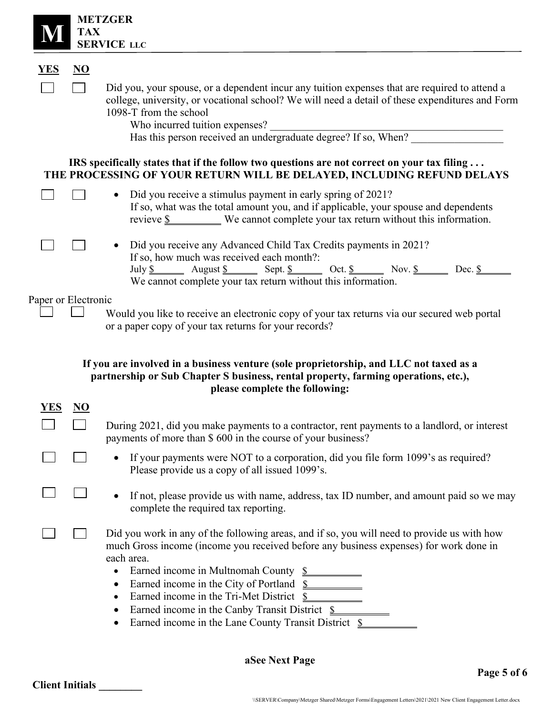|                     | <b>TAX</b>                | <b>METZGER</b><br><b>SERVICE LLC</b>                                                                                                                                                                                                                                                                                                                                                                                                                                                                  |
|---------------------|---------------------------|-------------------------------------------------------------------------------------------------------------------------------------------------------------------------------------------------------------------------------------------------------------------------------------------------------------------------------------------------------------------------------------------------------------------------------------------------------------------------------------------------------|
| <b>YES</b>          | $\underline{\mathbf{NO}}$ |                                                                                                                                                                                                                                                                                                                                                                                                                                                                                                       |
|                     |                           | Did you, your spouse, or a dependent incur any tuition expenses that are required to attend a<br>college, university, or vocational school? We will need a detail of these expenditures and Form<br>1098-T from the school<br>Who incurred tuition expenses?<br>Has this person received an undergraduate degree? If so, When?                                                                                                                                                                        |
|                     |                           | IRS specifically states that if the follow two questions are not correct on your tax filing<br>THE PROCESSING OF YOUR RETURN WILL BE DELAYED, INCLUDING REFUND DELAYS                                                                                                                                                                                                                                                                                                                                 |
|                     |                           | Did you receive a stimulus payment in early spring of 2021?<br>$\bullet$<br>If so, what was the total amount you, and if applicable, your spouse and dependents<br>revieve $\underline{\$$ We cannot complete your tax return without this information.                                                                                                                                                                                                                                               |
|                     |                           | • Did you receive any Advanced Child Tax Credits payments in 2021?<br>If so, how much was received each month?:<br>July $\underline{\$$ August $\underline{\$}$ Sept. $\underline{\$}$ Oct. $\underline{\$}$ Oct. $\underline{\$}$ Nov. $\underline{\$}$ Dec. $\underline{\$}$ Dec. $\underline{\$}$                                                                                                                                                                                                  |
| Paper or Electronic |                           | Would you like to receive an electronic copy of your tax returns via our secured web portal<br>or a paper copy of your tax returns for your records?                                                                                                                                                                                                                                                                                                                                                  |
|                     |                           | If you are involved in a business venture (sole proprietorship, and LLC not taxed as a<br>partnership or Sub Chapter S business, rental property, farming operations, etc.),<br>please complete the following:                                                                                                                                                                                                                                                                                        |
| <u>YES</u>          | <u>NU</u>                 | During 2021, did you make payments to a contractor, rent payments to a landlord, or interest                                                                                                                                                                                                                                                                                                                                                                                                          |
|                     |                           | payments of more than \$600 in the course of your business?                                                                                                                                                                                                                                                                                                                                                                                                                                           |
|                     |                           | If your payments were NOT to a corporation, did you file form 1099's as required?<br>$\bullet$<br>Please provide us a copy of all issued 1099's.                                                                                                                                                                                                                                                                                                                                                      |
|                     |                           | If not, please provide us with name, address, tax ID number, and amount paid so we may<br>$\bullet$<br>complete the required tax reporting.                                                                                                                                                                                                                                                                                                                                                           |
|                     |                           | Did you work in any of the following areas, and if so, you will need to provide us with how<br>much Gross income (income you received before any business expenses) for work done in<br>each area.<br>Earned income in Multnomah County \$<br>$\bullet$<br>Earned income in the City of Portland \$<br>$\bullet$<br>Earned income in the Tri-Met District \$<br>٠<br>Earned income in the Canby Transit District \$<br>$\bullet$<br>Earned income in the Lane County Transit District \$<br>$\bullet$ |
|                     |                           | aSee Next Page<br>Page 5 of 6                                                                                                                                                                                                                                                                                                                                                                                                                                                                         |